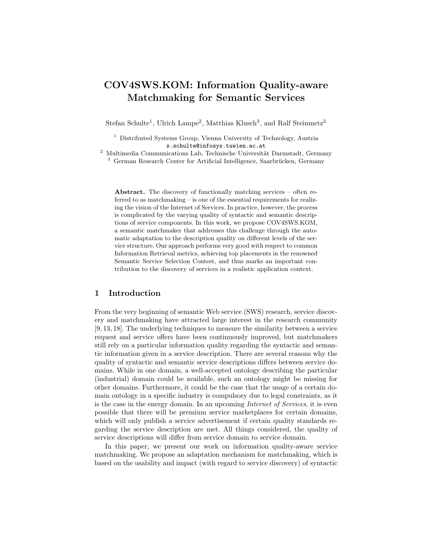# COV4SWS.KOM: Information Quality-aware Matchmaking for Semantic Services

Stefan Schulte<sup>1</sup>, Ulrich Lampe<sup>2</sup>, Matthias Klusch<sup>3</sup>, and Ralf Steinmetz<sup>2</sup>

<sup>1</sup> Distributed Systems Group, Vienna University of Technology, Austria s.schulte@infosys.tuwien.ac.at

 $^2$ Multimedia Communications Lab, Technische Universität Darmstadt, Germany <sup>3</sup> German Research Center for Artificial Intelligence, Saarbrücken, Germany

Abstract. The discovery of functionally matching services – often referred to as matchmaking – is one of the essential requirements for realizing the vision of the Internet of Services. In practice, however, the process is complicated by the varying quality of syntactic and semantic descriptions of service components. In this work, we propose COV4SWS.KOM, a semantic matchmaker that addresses this challenge through the automatic adaptation to the description quality on different levels of the service structure. Our approach performs very good with respect to common Information Retrieval metrics, achieving top placements in the renowned Semantic Service Selection Contest, and thus marks an important contribution to the discovery of services in a realistic application context.

# 1 Introduction

From the very beginning of semantic Web service (SWS) research, service discovery and matchmaking have attracted large interest in the research community [9, 13, 18]. The underlying techniques to measure the similarity between a service request and service offers have been continuously improved, but matchmakers still rely on a particular information quality regarding the syntactic and semantic information given in a service description. There are several reasons why the quality of syntactic and semantic service descriptions differs between service domains. While in one domain, a well-accepted ontology describing the particular (industrial) domain could be available, such an ontology might be missing for other domains. Furthermore, it could be the case that the usage of a certain domain ontology in a specific industry is compulsory due to legal constraints, as it is the case in the energy domain. In an upcoming Internet of Services, it is even possible that there will be premium service marketplaces for certain domains, which will only publish a service advertisement if certain quality standards regarding the service description are met. All things considered, the quality of service descriptions will differ from service domain to service domain.

In this paper, we present our work on information quality-aware service matchmaking. We propose an adaptation mechanism for matchmaking, which is based on the usability and impact (with regard to service discovery) of syntactic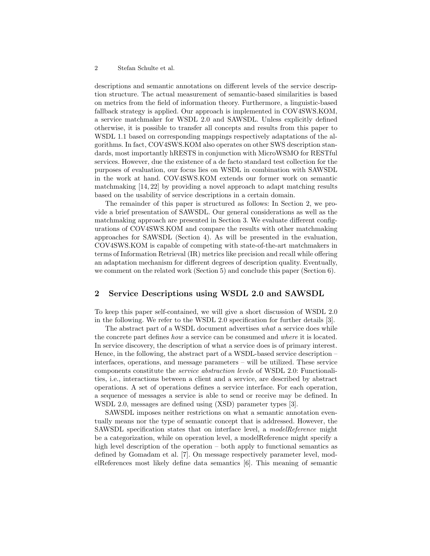descriptions and semantic annotations on different levels of the service description structure. The actual measurement of semantic-based similarities is based on metrics from the field of information theory. Furthermore, a linguistic-based fallback strategy is applied. Our approach is implemented in COV4SWS.KOM, a service matchmaker for WSDL 2.0 and SAWSDL. Unless explicitly defined otherwise, it is possible to transfer all concepts and results from this paper to WSDL 1.1 based on corresponding mappings respectively adaptations of the algorithms. In fact, COV4SWS.KOM also operates on other SWS description standards, most importantly hRESTS in conjunction with MicroWSMO for RESTful services. However, due the existence of a de facto standard test collection for the purposes of evaluation, our focus lies on WSDL in combination with SAWSDL in the work at hand. COV4SWS.KOM extends our former work on semantic matchmaking [14, 22] by providing a novel approach to adapt matching results based on the usability of service descriptions in a certain domain.

The remainder of this paper is structured as follows: In Section 2, we provide a brief presentation of SAWSDL. Our general considerations as well as the matchmaking approach are presented in Section 3. We evaluate different configurations of COV4SWS.KOM and compare the results with other matchmaking approaches for SAWSDL (Section 4). As will be presented in the evaluation, COV4SWS.KOM is capable of competing with state-of-the-art matchmakers in terms of Information Retrieval (IR) metrics like precision and recall while offering an adaptation mechanism for different degrees of description quality. Eventually, we comment on the related work (Section 5) and conclude this paper (Section 6).

# 2 Service Descriptions using WSDL 2.0 and SAWSDL

To keep this paper self-contained, we will give a short discussion of WSDL 2.0 in the following. We refer to the WSDL 2.0 specification for further details [3].

The abstract part of a WSDL document advertises what a service does while the concrete part defines how a service can be consumed and where it is located. In service discovery, the description of what a service does is of primary interest. Hence, in the following, the abstract part of a WSDL-based service description – interfaces, operations, and message parameters – will be utilized. These service components constitute the service abstraction levels of WSDL 2.0: Functionalities, i.e., interactions between a client and a service, are described by abstract operations. A set of operations defines a service interface. For each operation, a sequence of messages a service is able to send or receive may be defined. In WSDL 2.0, messages are defined using (XSD) parameter types [3].

SAWSDL imposes neither restrictions on what a semantic annotation eventually means nor the type of semantic concept that is addressed. However, the SAWSDL specification states that on interface level, a modelReference might be a categorization, while on operation level, a modelReference might specify a high level description of the operation – both apply to functional semantics as defined by Gomadam et al. [7]. On message respectively parameter level, modelReferences most likely define data semantics [6]. This meaning of semantic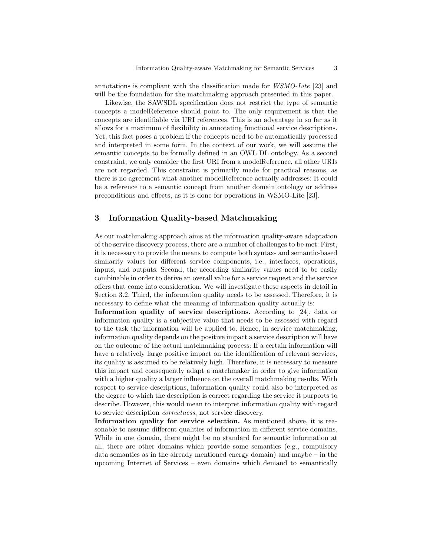annotations is compliant with the classification made for WSMO-Lite [23] and will be the foundation for the matchmaking approach presented in this paper.

Likewise, the SAWSDL specification does not restrict the type of semantic concepts a modelReference should point to. The only requirement is that the concepts are identifiable via URI references. This is an advantage in so far as it allows for a maximum of flexibility in annotating functional service descriptions. Yet, this fact poses a problem if the concepts need to be automatically processed and interpreted in some form. In the context of our work, we will assume the semantic concepts to be formally defined in an OWL DL ontology. As a second constraint, we only consider the first URI from a modelReference, all other URIs are not regarded. This constraint is primarily made for practical reasons, as there is no agreement what another modelReference actually addresses: It could be a reference to a semantic concept from another domain ontology or address preconditions and effects, as it is done for operations in WSMO-Lite [23].

# 3 Information Quality-based Matchmaking

As our matchmaking approach aims at the information quality-aware adaptation of the service discovery process, there are a number of challenges to be met: First, it is necessary to provide the means to compute both syntax- and semantic-based similarity values for different service components, i.e., interfaces, operations, inputs, and outputs. Second, the according similarity values need to be easily combinable in order to derive an overall value for a service request and the service offers that come into consideration. We will investigate these aspects in detail in Section 3.2. Third, the information quality needs to be assessed. Therefore, it is necessary to define what the meaning of information quality actually is:

Information quality of service descriptions. According to [24], data or information quality is a subjective value that needs to be assessed with regard to the task the information will be applied to. Hence, in service matchmaking, information quality depends on the positive impact a service description will have on the outcome of the actual matchmaking process: If a certain information will have a relatively large positive impact on the identification of relevant services, its quality is assumed to be relatively high. Therefore, it is necessary to measure this impact and consequently adapt a matchmaker in order to give information with a higher quality a larger influence on the overall matchmaking results. With respect to service descriptions, information quality could also be interpreted as the degree to which the description is correct regarding the service it purports to describe. However, this would mean to interpret information quality with regard to service description correctness, not service discovery.

Information quality for service selection. As mentioned above, it is reasonable to assume different qualities of information in different service domains. While in one domain, there might be no standard for semantic information at all, there are other domains which provide some semantics (e.g., compulsory data semantics as in the already mentioned energy domain) and maybe – in the upcoming Internet of Services – even domains which demand to semantically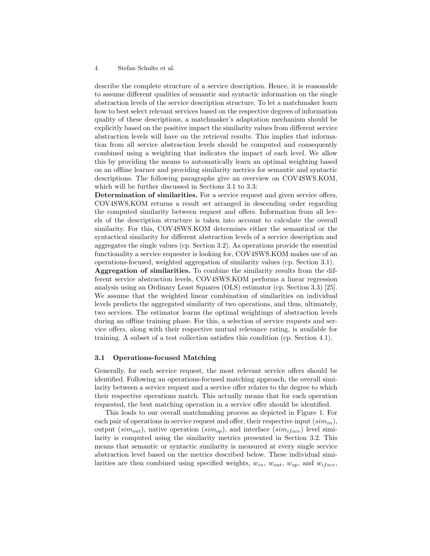describe the complete structure of a service description. Hence, it is reasonable to assume different qualities of semantic and syntactic information on the single abstraction levels of the service description structure. To let a matchmaker learn how to best select relevant services based on the respective degrees of information quality of these descriptions, a matchmaker's adaptation mechanism should be explicitly based on the positive impact the similarity values from different service abstraction levels will have on the retrieval results. This implies that information from all service abstraction levels should be computed and consequently combined using a weighting that indicates the impact of each level. We allow this by providing the means to automatically learn an optimal weighting based on an offline learner and providing similarity metrics for semantic and syntactic descriptions. The following paragraphs give an overview on COV4SWS.KOM, which will be further discussed in Sections 3.1 to 3.3:

Determination of similarities. For a service request and given service offers, COV4SWS.KOM returns a result set arranged in descending order regarding the computed similarity between request and offers. Information from all levels of the description structure is taken into account to calculate the overall similarity. For this, COV4SWS.KOM determines either the semantical or the syntactical similarity for different abstraction levels of a service description and aggregates the single values (cp. Section 3.2). As operations provide the essential functionality a service requester is looking for, COV4SWS.KOM makes use of an operations-focused, weighted aggregation of similarity values (cp. Section 3.1).

Aggregation of similarities. To combine the similarity results from the different service abstraction levels, COV4SWS.KOM performs a linear regression analysis using an Ordinary Least Squares (OLS) estimator (cp. Section 3.3) [25]. We assume that the weighted linear combination of similarities on individual levels predicts the aggregated similarity of two operations, and thus, ultimately, two services. The estimator learns the optimal weightings of abstraction levels during an offline training phase. For this, a selection of service requests and service offers, along with their respective mutual relevance rating, is available for training. A subset of a test collection satisfies this condition (cp. Section 4.1).

### 3.1 Operations-focused Matching

Generally, for each service request, the most relevant service offers should be identified. Following an operations-focused matching approach, the overall similarity between a service request and a service offer relates to the degree to which their respective operations match. This actually means that for each operation requested, the best matching operation in a service offer should be identified.

This leads to our overall matchmaking process as depicted in Figure 1. For each pair of operations in service request and offer, their respective input  $(\text{sim}_{in}),$ output  $(im_{out})$ , native operation  $(sim_{op})$ , and interface  $(sim_{iface})$  level similarity is computed using the similarity metrics presented in Section 3.2. This means that semantic or syntactic similarity is measured at every single service abstraction level based on the metrics described below. These individual similarities are then combined using specified weights,  $w_{in}$ ,  $w_{out}$ ,  $w_{op}$ , and  $w_{ifacc}$ ,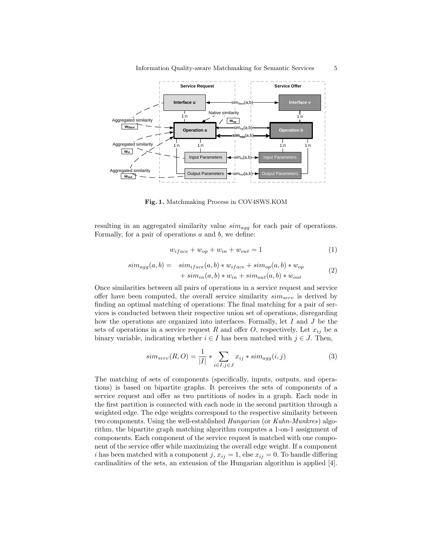

Fig. 1. Matchmaking Process in COV4SWS.KOM

resulting in an aggregated similarity value  $sim_{agg}$  for each pair of operations. Formally, for a pair of operations  $a$  and  $b$ , we define:

$$
w_{iface} + w_{op} + w_{in} + w_{out} = 1
$$
\n<sup>(1)</sup>

$$
sim_{agg}(a,b) = sim_{iface}(a,b) * w_{iface} + sim_{op}(a,b) * w_{op}
$$
  
+ 
$$
sim_{in}(a,b) * w_{in} + sim_{out}(a,b) * w_{out}
$$
 (2)

Once similarities between all pairs of operations in a service request and service offer have been computed, the overall service similarity  $sim_{serv}$  is derived by finding an optimal matching of operations: The final matching for a pair of services is conducted between their respective union set of operations, disregarding how the operations are organized into interfaces. Formally, let I and J be the sets of operations in a service request R and offer O, respectively. Let  $x_{ij}$  be a binary variable, indicating whether  $i \in I$  has been matched with  $j \in J$ . Then,

$$
sim_{serv}(R, O) = \frac{1}{|I|} * \sum_{i \in I, j \in J} x_{ij} * sim_{agg}(i, j)
$$
\n(3)

The matching of sets of components (specifically, inputs, outputs, and operations) is based on bipartite graphs. It perceives the sets of components of a service request and offer as two partitions of nodes in a graph. Each node in the first partition is connected with each node in the second partition through a weighted edge. The edge weights correspond to the respective similarity between two components. Using the well-established Hungarian (or Kuhn-Munkres) algorithm, the bipartite graph matching algorithm computes a 1-on-1 assignment of components. Each component of the service request is matched with one component of the service offer while maximizing the overall edge weight. If a component i has been matched with a component j,  $x_{ij} = 1$ , else  $x_{ij} = 0$ . To handle differing cardinalities of the sets, an extension of the Hungarian algorithm is applied [4].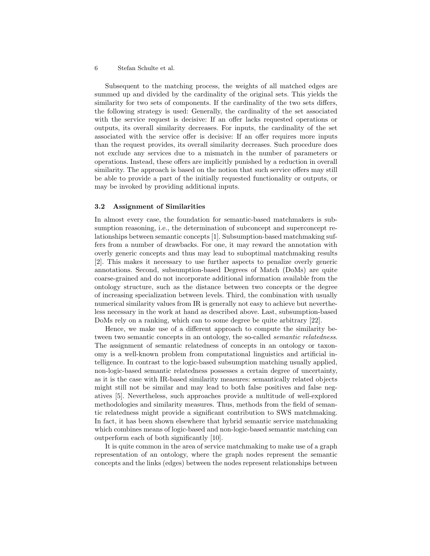Subsequent to the matching process, the weights of all matched edges are summed up and divided by the cardinality of the original sets. This yields the similarity for two sets of components. If the cardinality of the two sets differs, the following strategy is used: Generally, the cardinality of the set associated with the service request is decisive: If an offer lacks requested operations or outputs, its overall similarity decreases. For inputs, the cardinality of the set associated with the service offer is decisive: If an offer requires more inputs than the request provides, its overall similarity decreases. Such procedure does not exclude any services due to a mismatch in the number of parameters or operations. Instead, these offers are implicitly punished by a reduction in overall similarity. The approach is based on the notion that such service offers may still be able to provide a part of the initially requested functionality or outputs, or may be invoked by providing additional inputs.

#### 3.2 Assignment of Similarities

In almost every case, the foundation for semantic-based matchmakers is subsumption reasoning, i.e., the determination of subconcept and superconcept relationships between semantic concepts [1]. Subsumption-based matchmaking suffers from a number of drawbacks. For one, it may reward the annotation with overly generic concepts and thus may lead to suboptimal matchmaking results [2]. This makes it necessary to use further aspects to penalize overly generic annotations. Second, subsumption-based Degrees of Match (DoMs) are quite coarse-grained and do not incorporate additional information available from the ontology structure, such as the distance between two concepts or the degree of increasing specialization between levels. Third, the combination with usually numerical similarity values from IR is generally not easy to achieve but nevertheless necessary in the work at hand as described above. Last, subsumption-based DoMs rely on a ranking, which can to some degree be quite arbitrary [22].

Hence, we make use of a different approach to compute the similarity between two semantic concepts in an ontology, the so-called *semantic relatedness*. The assignment of semantic relatedness of concepts in an ontology or taxonomy is a well-known problem from computational linguistics and artificial intelligence. In contrast to the logic-based subsumption matching usually applied, non-logic-based semantic relatedness possesses a certain degree of uncertainty, as it is the case with IR-based similarity measures: semantically related objects might still not be similar and may lead to both false positives and false negatives [5]. Nevertheless, such approaches provide a multitude of well-explored methodologies and similarity measures. Thus, methods from the field of semantic relatedness might provide a significant contribution to SWS matchmaking. In fact, it has been shown elsewhere that hybrid semantic service matchmaking which combines means of logic-based and non-logic-based semantic matching can outperform each of both significantly [10].

It is quite common in the area of service matchmaking to make use of a graph representation of an ontology, where the graph nodes represent the semantic concepts and the links (edges) between the nodes represent relationships between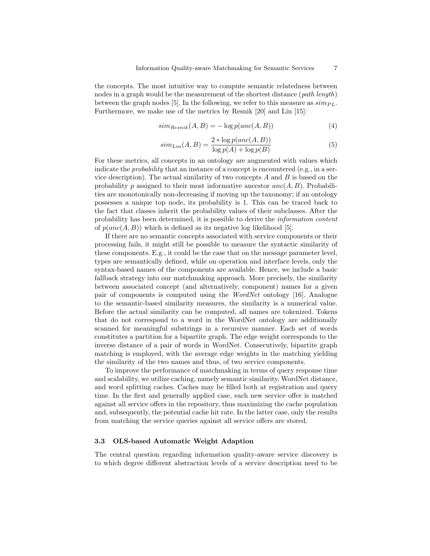the concepts. The most intuitive way to compute semantic relatedness between nodes in a graph would be the measurement of the shortest distance (*path length*) between the graph nodes [5]. In the following, we refer to this measure as  $\sin p_L$ . Furthermore, we make use of the metrics by Resnik [20] and Lin [15]:

$$
sim_{Resnik}(A, B) = -\log p(anc(A, B))
$$
\n(4)

$$
sim_{Lin}(A,B) = \frac{2 * \log p(anc(A,B))}{\log p(A) + \log p(B)}
$$
(5)

For these metrics, all concepts in an ontology are augmented with values which indicate the *probability* that an instance of a concept is encountered (e.g., in a service description). The actual similarity of two concepts  $A$  and  $B$  is based on the probability p assigned to their most informative ancestor  $anc(A, B)$ . Probabilities are monotonically non-decreasing if moving up the taxonomy; if an ontology possesses a unique top node, its probability is 1. This can be traced back to the fact that classes inherit the probability values of their subclasses. After the probability has been determined, it is possible to derive the information content of  $p(anc(A, B))$  which is defined as its negative log likelihood [5].

If there are no semantic concepts associated with service components or their processing fails, it might still be possible to measure the syntactic similarity of these components. E.g., it could be the case that on the message parameter level, types are semantically defined, while on operation and interface levels, only the syntax-based names of the components are available. Hence, we include a basic fallback strategy into our matchmaking approach. More precisely, the similarity between associated concept (and alternatively, component) names for a given pair of components is computed using the WordNet ontology [16]. Analogue to the semantic-based similarity measures, the similarity is a numerical value. Before the actual similarity can be computed, all names are tokenized. Tokens that do not correspond to a word in the WordNet ontology are additionally scanned for meaningful substrings in a recursive manner. Each set of words constitutes a partition for a bipartite graph. The edge weight corresponds to the inverse distance of a pair of words in WordNet. Consecutively, bipartite graph matching is employed, with the average edge weights in the matching yielding the similarity of the two names and thus, of two service components.

To improve the performance of matchmaking in terms of query response time and scalability, we utilize caching, namely semantic similarity, WordNet distance, and word splitting caches. Caches may be filled both at registration and query time. In the first and generally applied case, each new service offer is matched against all service offers in the repository, thus maximizing the cache population and, subsequently, the potential cache hit rate. In the latter case, only the results from matching the service queries against all service offers are stored.

### 3.3 OLS-based Automatic Weight Adaption

The central question regarding information quality-aware service discovery is to which degree different abstraction levels of a service description need to be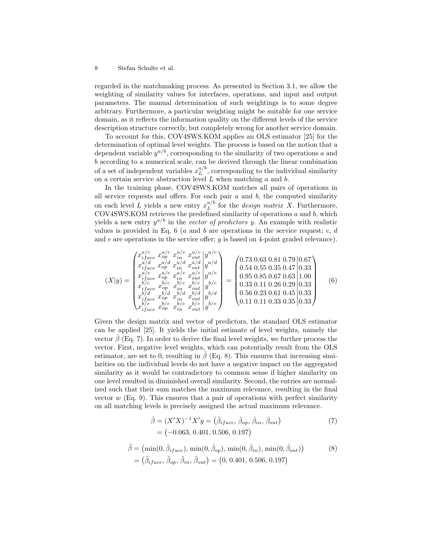regarded in the matchmaking process. As presented in Section 3.1, we allow the weighting of similarity values for interfaces, operations, and input and output parameters. The manual determination of such weightings is to some degree arbitrary. Furthermore, a particular weighting might be suitable for one service domain, as it reflects the information quality on the different levels of the service description structure correctly, but completely wrong for another service domain.

To account for this, COV4SWS.KOM applies an OLS estimator [25] for the determination of optimal level weights. The process is based on the notion that a dependent variable  $y^{a/b}$ , corresponding to the similarity of two operations a and b according to a numerical scale, can be derived through the linear combination of a set of independent variables  $x_L^{a/b}$  $L^{a/\nu}$ , corresponding to the individual similarity on a certain service abstraction level  $L$  when matching  $a$  and  $b$ .

In the training phase, COV4SWS.KOM matches all pairs of operations in all service requests and offers. For each pair  $a$  and  $b$ , the computed similarity on each level L yields a new entry  $x_L^{a/b}$  $L^{a/\nu}$  for the *design matrix X*. Furthermore, COV4SWS.KOM retrieves the predefined similarity of operations  $a$  and  $b$ , which yields a new entry  $y^{a/b}$  in the vector of predictors y. An example with realistic values is provided in Eq. 6 ( $a$  and  $b$  are operations in the service request;  $c, d$ and  $e$  are operations in the service offer;  $y$  is based on 4-point graded relevance).

$$
(X|y) = \begin{pmatrix} x_0^{a/c} & x_0^{a/c} & x_0^{a/c} & x_0^{a/c} & y_0^{a/c} \\ x_0^{a/d} & x_0^{a/d} & x_0^{a/d} & x_0^{a/d} & y_0^{a/d} \\ x_0^{a/c} & x_0^{a/c} & x_0^{a/c} & x_0^{a/c} & y_0^{a/c} \\ x_0^{b/c} & x_0^{b/c} & x_0^{b/c} & x_0^{b/c} & y_0^{b/c} \\ x_0^{b/c} & x_0^{b/c} & x_0^{b/c} & x_0^{b/c} & y_0^{b/c} \\ x_0^{b/d} & x_0^{b/d} & x_0^{b/d} & x_0^{b/d} & y_0^{b/d} \\ x_0^{b/c} & x_0^{b/c} & x_0^{b/c} & x_0^{b/c} & y_0^{b/c} \\ x_0^{b/c} & x_0^{b/c} & x_0^{b/c} & x_0^{b/c} & y_0^{b/c} \end{pmatrix} = \begin{pmatrix} 0.73 & 0.63 & 0.81 & 0.79 & 0.67 \\ 0.54 & 0.55 & 0.63 & 0.81 & 0.79 & 0.67 \\ 0.56 & 0.55 & 0.55 & 0.47 & 0.33 \\ 0.33 & 0.11 & 0.26 & 0.23 & 0.10 & 0.33 \\ 0.56 & 0.23 & 0.61 & 0.45 & 0.33 \\ 0.11 & 0.11 & 0.33 & 0.35 & 0.33 \end{pmatrix} \tag{6}
$$

Given the design matrix and vector of predictors, the standard OLS estimator can be applied [25]. It yields the initial estimate of level weights, namely the vector  $\hat{\beta}$  (Eq. 7). In order to derive the final level weights, we further process the vector. First, negative level weights, which can potentially result from the OLS estimator, are set to 0, resulting in  $\tilde{\beta}$  (Eq. 8). This ensures that increasing similarities on the individual levels do not have a negative impact on the aggregated similarity as it would be contradictory to common sense if higher similarity on one level resulted in diminished overall similarity. Second, the entries are normalized such that their sum matches the maximum relevance, resulting in the final vector  $w$  (Eq. 9). This ensures that a pair of operations with perfect similarity on all matching levels is precisely assigned the actual maximum relevance.

$$
\hat{\beta} = (X'X)^{-1}X'y = (\hat{\beta}_{iface}, \hat{\beta}_{op}, \hat{\beta}_{in}, \hat{\beta}_{out})
$$
  
= (-0.063, 0.401, 0.506, 0.197) (7)

$$
\tilde{\beta} = (\min(0, \hat{\beta}_{iface}), \min(0, \hat{\beta}_{op}), \min(0, \hat{\beta}_{in}), \min(0, \hat{\beta}_{out}))
$$
\n
$$
= (\tilde{\beta}_{iface}, \tilde{\beta}_{op}, \tilde{\beta}_{in}, \tilde{\beta}_{out}) = (0, 0.401, 0.506, 0.197)
$$
\n(8)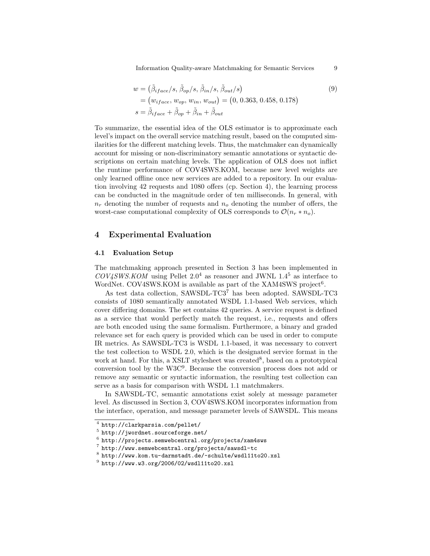Information Quality-aware Matchmaking for Semantic Services 9

$$
w = (\tilde{\beta}_{iface}/s, \tilde{\beta}_{op}/s, \tilde{\beta}_{in}/s, \tilde{\beta}_{out}/s)
$$
  
=  $(w_{iface}, w_{op}, w_{in}, w_{out}) = (0, 0.363, 0.458, 0.178)$   

$$
s = \tilde{\beta}_{iface} + \tilde{\beta}_{op} + \tilde{\beta}_{in} + \tilde{\beta}_{out}
$$
 (9)

To summarize, the essential idea of the OLS estimator is to approximate each level's impact on the overall service matching result, based on the computed similarities for the different matching levels. Thus, the matchmaker can dynamically account for missing or non-discriminatory semantic annotations or syntactic descriptions on certain matching levels. The application of OLS does not inflict the runtime performance of COV4SWS.KOM, because new level weights are only learned offline once new services are added to a repository. In our evaluation involving 42 requests and 1080 offers (cp. Section 4), the learning process can be conducted in the magnitude order of ten milliseconds. In general, with  $n_r$  denoting the number of requests and  $n_o$  denoting the number of offers, the worst-case computational complexity of OLS corresponds to  $\mathcal{O}(n_r * n_o)$ .

# 4 Experimental Evaluation

#### 4.1 Evaluation Setup

The matchmaking approach presented in Section 3 has been implemented in  $COV4SWS.KOM$  using Pellet  $2.0<sup>4</sup>$  as reasoner and JWNL  $1.4<sup>5</sup>$  as interface to WordNet. COV4SWS.KOM is available as part of the XAM4SWS project<sup>6</sup>.

As test data collection, SAWSDL-TC3<sup>7</sup> has been adopted. SAWSDL-TC3 consists of 1080 semantically annotated WSDL 1.1-based Web services, which cover differing domains. The set contains 42 queries. A service request is defined as a service that would perfectly match the request, i.e., requests and offers are both encoded using the same formalism. Furthermore, a binary and graded relevance set for each query is provided which can be used in order to compute IR metrics. As SAWSDL-TC3 is WSDL 1.1-based, it was necessary to convert the test collection to WSDL 2.0, which is the designated service format in the work at hand. For this, a XSLT stylesheet was created<sup>8</sup>, based on a prototypical conversion tool by the W3C<sup>9</sup> . Because the conversion process does not add or remove any semantic or syntactic information, the resulting test collection can serve as a basis for comparison with WSDL 1.1 matchmakers.

In SAWSDL-TC, semantic annotations exist solely at message parameter level. As discussed in Section 3, COV4SWS.KOM incorporates information from the interface, operation, and message parameter levels of SAWSDL. This means

<sup>4</sup> http://clarkparsia.com/pellet/

<sup>5</sup> http://jwordnet.sourceforge.net/

 $^6$ http://projects.semwebcentral.org/projects/xam4sws

 $7$  http://www.semwebcentral.org/projects/sawsdl-tc

 $\frac{8}{3}$  http://www.kom.tu-darmstadt.de/~schulte/wsdl11to20.xsl

 $^9$  http://www.w3.org/2006/02/wsdl11to20.xsl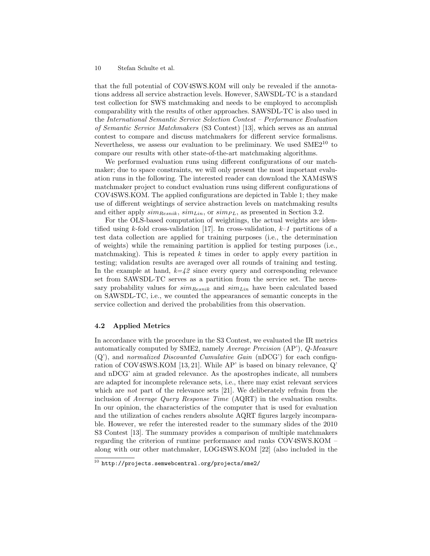that the full potential of COV4SWS.KOM will only be revealed if the annotations address all service abstraction levels. However, SAWSDL-TC is a standard test collection for SWS matchmaking and needs to be employed to accomplish comparability with the results of other approaches. SAWSDL-TC is also used in the International Semantic Service Selection Contest – Performance Evaluation of Semantic Service Matchmakers (S3 Contest) [13], which serves as an annual contest to compare and discuss matchmakers for different service formalisms. Nevertheless, we assess our evaluation to be preliminary. We used  $SME2^{10}$  to compare our results with other state-of-the-art matchmaking algorithms.

We performed evaluation runs using different configurations of our matchmaker; due to space constraints, we will only present the most important evaluation runs in the following. The interested reader can download the XAM4SWS matchmaker project to conduct evaluation runs using different configurations of COV4SWS.KOM. The applied configurations are depicted in Table 1; they make use of different weightings of service abstraction levels on matchmaking results and either apply  $sim_{Resnik}$ ,  $sim_{Lin}$ , or  $sim_{PL}$ , as presented in Section 3.2.

For the OLS-based computation of weightings, the actual weights are identified using k-fold cross-validation [17]. In cross-validation,  $k-1$  partitions of a test data collection are applied for training purposes (i.e., the determination of weights) while the remaining partition is applied for testing purposes (i.e., matchmaking). This is repeated  $k$  times in order to apply every partition in testing; validation results are averaged over all rounds of training and testing. In the example at hand,  $k=42$  since every query and corresponding relevance set from SAWSDL-TC serves as a partition from the service set. The necessary probability values for  $sim_{Resnik}$  and  $sim_{Lin}$  have been calculated based on SAWSDL-TC, i.e., we counted the appearances of semantic concepts in the service collection and derived the probabilities from this observation.

### 4.2 Applied Metrics

In accordance with the procedure in the S3 Contest, we evaluated the IR metrics automatically computed by SME2, namely Average Precision (AP'), Q-Measure  $(Q')$ , and normalized Discounted Cumulative Gain (nDCG') for each configuration of COV4SWS.KOM [13, 21]. While AP' is based on binary relevance, Q' and nDCG' aim at graded relevance. As the apostrophes indicate, all numbers are adapted for incomplete relevance sets, i.e., there may exist relevant services which are not part of the relevance sets [21]. We deliberately refrain from the inclusion of Average Query Response Time (AQRT) in the evaluation results. In our opinion, the characteristics of the computer that is used for evaluation and the utilization of caches renders absolute AQRT figures largely incomparable. However, we refer the interested reader to the summary slides of the 2010 S3 Contest [13]. The summary provides a comparison of multiple matchmakers regarding the criterion of runtime performance and ranks COV4SWS.KOM – along with our other matchmaker, LOG4SWS.KOM [22] (also included in the

 $^{10}$  http://projects.semwebcentral.org/projects/sme2/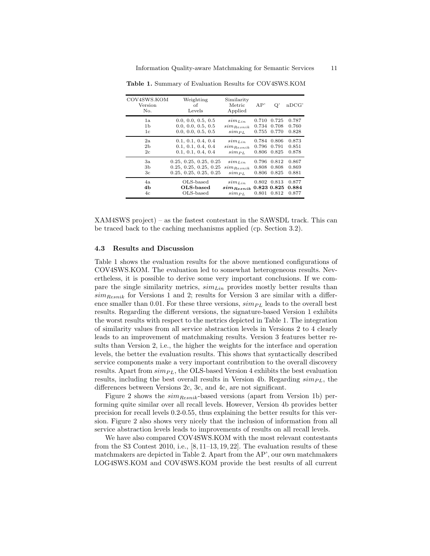| COV4SWS.KOM<br>Version<br>No. | Weighting<br>of<br>Levels | Similarity<br>Metric<br>Applied | AP'   | Ő,          | nDCG' |
|-------------------------------|---------------------------|---------------------------------|-------|-------------|-------|
| 1a                            | 0.0, 0.0, 0.5, 0.5        | $sim_{Lin}$                     | 0.710 | 0.725       | 0.787 |
| 1 <sub>b</sub>                | 0.0, 0.0, 0.5, 0.5        | $\,sim_{Resnik}$                | 0.734 | 0.708       | 0.760 |
| 1c                            | 0.0, 0.0, 0.5, 0.5        | $\sin p_L$                      | 0.755 | 0.770       | 0.828 |
| 2a                            | 0.1, 0.1, 0.4, 0.4        | $sim_{Lin}$                     | 0.784 | 0.806       | 0.873 |
| 2 <sub>b</sub>                | 0.1, 0.1, 0.4, 0.4        | $\frac{sim_{Resnik}}{s}$        | 0.796 | 0.791       | 0.851 |
| 2c                            | 0.1, 0.1, 0.4, 0.4        | $\sin p_L$                      | 0.806 | 0.825       | 0.878 |
| 3a                            | 0.25, 0.25, 0.25, 0.25    | $sim_{Lin}$                     | 0.796 | 0.812       | 0.867 |
| 3b                            | 0.25, 0.25, 0.25, 0.25    | $\,sim_{Resnik}$                | 0.808 | 0.808       | 0.869 |
| 3 <sub>c</sub>                | 0.25, 0.25, 0.25, 0.25    | $\sin p_L$                      | 0.806 | 0.825       | 0.881 |
| 4a                            | OLS-based                 | $sim_{Lin}$                     | 0.801 | 0.802 0.813 | 0.877 |
| 4b                            | OLS-based                 | $\it sim_{Resnik}$              |       | 0.823 0.825 | 0.884 |
| 4c                            | OLS-based                 | $\sin p_L$                      |       | 0.812       | 0.877 |

Table 1. Summary of Evaluation Results for COV4SWS.KOM

XAM4SWS project) – as the fastest contestant in the SAWSDL track. This can be traced back to the caching mechanisms applied (cp. Section 3.2).

#### 4.3 Results and Discussion

Table 1 shows the evaluation results for the above mentioned configurations of COV4SWS.KOM. The evaluation led to somewhat heterogeneous results. Nevertheless, it is possible to derive some very important conclusions. If we compare the single similarity metrics,  $sim_{Lin}$  provides mostly better results than  $sim_{Resnik}$  for Versions 1 and 2; results for Version 3 are similar with a difference smaller than 0.01. For these three versions,  $simp<sub>L</sub>$  leads to the overall best results. Regarding the different versions, the signature-based Version 1 exhibits the worst results with respect to the metrics depicted in Table 1. The integration of similarity values from all service abstraction levels in Versions 2 to 4 clearly leads to an improvement of matchmaking results. Version 3 features better results than Version 2, i.e., the higher the weights for the interface and operation levels, the better the evaluation results. This shows that syntactically described service components make a very important contribution to the overall discovery results. Apart from  $simp_L$ , the OLS-based Version 4 exhibits the best evaluation results, including the best overall results in Version 4b. Regarding  $simp_L$ , the differences between Versions 2c, 3c, and 4c, are not significant.

Figure 2 shows the  $sim_{Resnik}$ -based versions (apart from Version 1b) performing quite similar over all recall levels. However, Version 4b provides better precision for recall levels 0.2-0.55, thus explaining the better results for this version. Figure 2 also shows very nicely that the inclusion of information from all service abstraction levels leads to improvements of results on all recall levels.

We have also compared COV4SWS.KOM with the most relevant contestants from the S3 Contest 2010, i.e.,  $[8, 11-13, 19, 22]$ . The evaluation results of these matchmakers are depicted in Table 2. Apart from the AP', our own matchmakers LOG4SWS.KOM and COV4SWS.KOM provide the best results of all current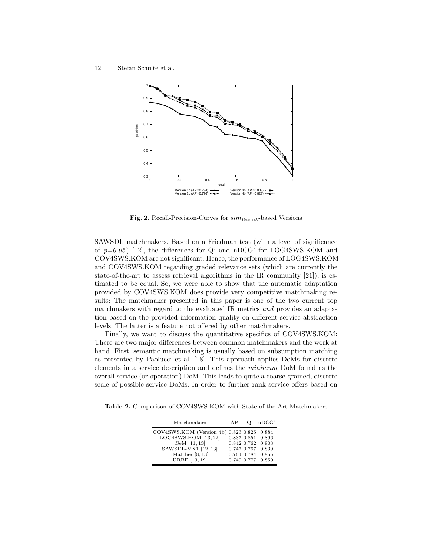

Fig. 2. Recall-Precision-Curves for  $sim_{Resnik}$ -based Versions

SAWSDL matchmakers. Based on a Friedman test (with a level of significance of  $p=0.05$  [12], the differences for Q' and nDCG' for LOG4SWS.KOM and COV4SWS.KOM are not significant. Hence, the performance of LOG4SWS.KOM and COV4SWS.KOM regarding graded relevance sets (which are currently the state-of-the-art to assess retrieval algorithms in the IR community [21]), is estimated to be equal. So, we were able to show that the automatic adaptation provided by COV4SWS.KOM does provide very competitive matchmaking results: The matchmaker presented in this paper is one of the two current top matchmakers with regard to the evaluated IR metrics and provides an adaptation based on the provided information quality on different service abstraction levels. The latter is a feature not offered by other matchmakers.

Finally, we want to discuss the quantitative specifics of COV4SWS.KOM: There are two major differences between common matchmakers and the work at hand. First, semantic matchmaking is usually based on subsumption matching as presented by Paolucci et al. [18]. This approach applies DoMs for discrete elements in a service description and defines the minimum DoM found as the overall service (or operation) DoM. This leads to quite a coarse-grained, discrete scale of possible service DoMs. In order to further rank service offers based on

Table 2. Comparison of COV4SWS.KOM with State-of-the-Art Matchmakers

| Matchmakers                                                                                                                      | AP' | O, | nDCG'                                                                            |
|----------------------------------------------------------------------------------------------------------------------------------|-----|----|----------------------------------------------------------------------------------|
| COV4SWS.KOM (Version 4b) 0.823 0.825 0.884<br>LOG4SWS.KOM [13, 22]<br>iSeM [11, 13]<br>SAWSDL-MX1 [12, 13]<br>iMatcher $[8, 13]$ |     |    | 0.837 0.851 0.896<br>0.842 0.762 0.803<br>0.747 0.767 0.839<br>0.764 0.784 0.855 |
| <b>URBE</b> [13, 19]                                                                                                             |     |    | 0.749 0.777 0.850                                                                |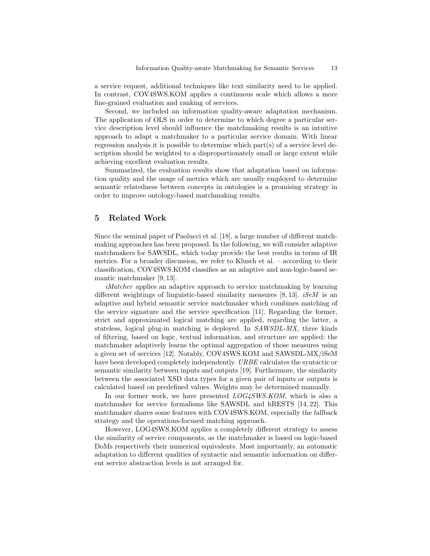a service request, additional techniques like text similarity need to be applied. In contrast, COV4SWS.KOM applies a continuous scale which allows a more fine-grained evaluation and ranking of services.

Second, we included an information quality-aware adaptation mechanism. The application of OLS in order to determine to which degree a particular service description level should influence the matchmaking results is an intuitive approach to adapt a matchmaker to a particular service domain. With linear regression analysis it is possible to determine which part(s) of a service level description should be weighted to a disproportionately small or large extent while achieving excellent evaluation results.

Summarized, the evaluation results show that adaptation based on information quality and the usage of metrics which are usually employed to determine semantic relatedness between concepts in ontologies is a promising strategy in order to improve ontology-based matchmaking results.

# 5 Related Work

Since the seminal paper of Paolucci et al. [18], a large number of different matchmaking approaches has been proposed. In the following, we will consider adaptive matchmakers for SAWSDL, which today provide the best results in terms of IR metrics. For a broader discussion, we refer to Klusch et al. – according to their classification, COV4SWS.KOM classifies as an adaptive and non-logic-based semantic matchmaker [9, 13].

iMatcher applies an adaptive approach to service matchmaking by learning different weightings of linguistic-based similarity measures  $[8, 13]$ . *iSeM* is an adaptive and hybrid semantic service matchmaker which combines matching of the service signature and the service specification [11]. Regarding the former, strict and approximated logical matching are applied, regarding the latter, a stateless, logical plug-in matching is deployed. In SAWSDL-MX, three kinds of filtering, based on logic, textual information, and structure are applied; the matchmaker adaptively learns the optimal aggregation of those measures using a given set of services [12]. Notably, COV4SWS.KOM and SAWSDL-MX/iSeM have been developed completely independently. URBE calculates the syntactic or semantic similarity between inputs and outputs [19]. Furthermore, the similarity between the associated XSD data types for a given pair of inputs or outputs is calculated based on predefined values. Weights may be determined manually.

In our former work, we have presented  $LOG/3W.S.KOM$ , which is also a matchmaker for service formalisms like SAWSDL and hRESTS [14, 22]. This matchmaker shares some features with COV4SWS.KOM, especially the fallback strategy and the operations-focused matching approach.

However, LOG4SWS.KOM applies a completely different strategy to assess the similarity of service components, as the matchmaker is based on logic-based DoMs respectively their numerical equivalents. Most importantly, an automatic adaptation to different qualities of syntactic and semantic information on different service abstraction levels is not arranged for.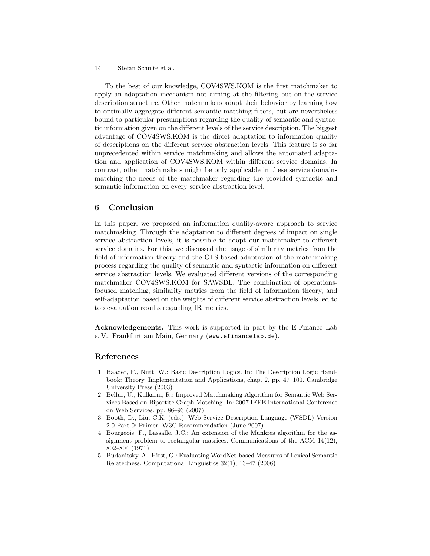To the best of our knowledge, COV4SWS.KOM is the first matchmaker to apply an adaptation mechanism not aiming at the filtering but on the service description structure. Other matchmakers adapt their behavior by learning how to optimally aggregate different semantic matching filters, but are nevertheless bound to particular presumptions regarding the quality of semantic and syntactic information given on the different levels of the service description. The biggest advantage of COV4SWS.KOM is the direct adaptation to information quality of descriptions on the different service abstraction levels. This feature is so far unprecedented within service matchmaking and allows the automated adaptation and application of COV4SWS.KOM within different service domains. In contrast, other matchmakers might be only applicable in these service domains matching the needs of the matchmaker regarding the provided syntactic and semantic information on every service abstraction level.

# 6 Conclusion

In this paper, we proposed an information quality-aware approach to service matchmaking. Through the adaptation to different degrees of impact on single service abstraction levels, it is possible to adapt our matchmaker to different service domains. For this, we discussed the usage of similarity metrics from the field of information theory and the OLS-based adaptation of the matchmaking process regarding the quality of semantic and syntactic information on different service abstraction levels. We evaluated different versions of the corresponding matchmaker COV4SWS.KOM for SAWSDL. The combination of operationsfocused matching, similarity metrics from the field of information theory, and self-adaptation based on the weights of different service abstraction levels led to top evaluation results regarding IR metrics.

Acknowledgements. This work is supported in part by the E-Finance Lab e. V., Frankfurt am Main, Germany (www.efinancelab.de).

# References

- 1. Baader, F., Nutt, W.: Basic Description Logics. In: The Description Logic Handbook: Theory, Implementation and Applications, chap. 2, pp. 47–100. Cambridge University Press (2003)
- 2. Bellur, U., Kulkarni, R.: Improved Matchmaking Algorithm for Semantic Web Services Based on Bipartite Graph Matching. In: 2007 IEEE International Conference on Web Services. pp. 86–93 (2007)
- 3. Booth, D., Liu, C.K. (eds.): Web Service Description Language (WSDL) Version 2.0 Part 0: Primer. W3C Recommendation (June 2007)
- 4. Bourgeois, F., Lassalle, J.C.: An extension of the Munkres algorithm for the assignment problem to rectangular matrices. Communications of the ACM 14(12), 802–804 (1971)
- 5. Budanitsky, A., Hirst, G.: Evaluating WordNet-based Measures of Lexical Semantic Relatedness. Computational Linguistics 32(1), 13–47 (2006)